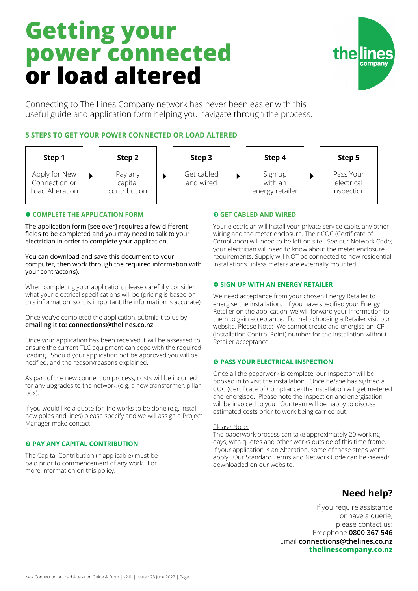# **Getting your power connected or load altered**



Connecting to The Lines Company network has never been easier with this useful guide and application form helping you navigate through the process.

# **5 STEPS TO GET YOUR POWER CONNECTED OR LOAD ALTERED**



#### **O COMPLETE THE APPLICATION FORM**

The application form [see over] requires a few different fields to be completed and you may need to talk to your electrician in order to complete your application.

#### You can download and save this document to your computer, then work through the required information with your contractor(s).

When completing your application, please carefully consider what your electrical specifications will be (pricing is based on this information, so it is important the information is accurate).

#### Once you've completed the application, submit it to us by **emailing it to: connections@thelines.co.nz**

Once your application has been received it will be assessed to ensure the current TLC equipment can cope with the required loading. Should your application not be approved you will be notified, and the reason/reasons explained.

As part of the new connection process, costs will be incurred for any upgrades to the network (e.g. a new transformer, pillar box).

If you would like a quote for line works to be done (e.g. install new poles and lines) please specify and we will assign a Project Manager make contact.

## $\odot$  **PAY ANY CAPITAL CONTRIBUTION**

The Capital Contribution (if applicable) must be paid prior to commencement ofany work. For more information on this policy.

## $\odot$  **GET CABLED AND WIRED**

Your electrician will install your private service cable, any other wiring and the meter enclosure. Their COC (Certificate of Compliance) will need to be left on site. See our Network Code; your electrician will need to know about the meter enclosure requirements. Supply will NOT be connected to new residential installations unless meters are externally mounted.

## **@ SIGN UP WITH AN ENERGY RETAILER**

We need acceptance from your chosen Energy Retailer to energise the installation. If you have specified your Energy Retailer on the application, we will forward your information to them to gain acceptance. For help choosing a Retailer visit our website. Please Note: We cannot create and energise an ICP (Installation Control Point) number for the installation without Retailer acceptance.

## $\Theta$  **PASS YOUR ELECTRICAL INSPECTION**

Once all the paperwork is complete, our Inspector will be booked in to visit the installation. Once he/she has sighted a COC (Certificate of Compliance) the installation will get metered and energised. Please note the inspection and energisation will be invoiced to you. Our team will be happy to discuss estimated costs prior to work being carried out.

#### Please Note:

The paperwork process can take approximately 20 working days, with quotes and other works outside of this time frame. If your application is an Alteration, some of these steps won't apply. Our Standard Terms and Network Code can be viewed/ downloaded on our website.

# **Need help?**

If you require assistance or have a querie, please contact us: Freephone **0800 367 546** Email **connections@thelines.co.nz thelinescompany.co.nz**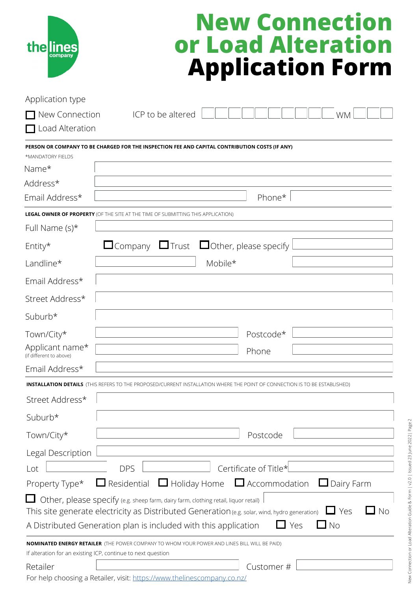| thelines                                   | <b>New Connection</b><br>or Load Alteration                                                                                                                                                           |
|--------------------------------------------|-------------------------------------------------------------------------------------------------------------------------------------------------------------------------------------------------------|
|                                            | <b>Application Form</b>                                                                                                                                                                               |
| Application type                           |                                                                                                                                                                                                       |
| New Connection<br>Load Alteration          | ICP to be altered<br><b>WM</b>                                                                                                                                                                        |
|                                            | PERSON OR COMPANY TO BE CHARGED FOR THE INSPECTION FEE AND CAPITAL CONTRIBUTION COSTS (IF ANY)                                                                                                        |
| *MANDATORY FIFI DS<br>Name*                |                                                                                                                                                                                                       |
| Address*                                   |                                                                                                                                                                                                       |
| Email Address*                             | Phone*                                                                                                                                                                                                |
|                                            | <b>LEGAL OWNER OF PROPERTY</b> (OF THE SITE AT THE TIME OF SUBMITTING THIS APPLICATION)                                                                                                               |
| Full Name $(s)^*$                          |                                                                                                                                                                                                       |
| Entity*                                    | $\Box$ Company $\Box$ Trust $\Box$ Other, please specify                                                                                                                                              |
| Landline*                                  | Mobile*                                                                                                                                                                                               |
| Email Address*                             |                                                                                                                                                                                                       |
| Street Address*                            |                                                                                                                                                                                                       |
| Suburb*                                    |                                                                                                                                                                                                       |
| Town/City*                                 | Postcode*                                                                                                                                                                                             |
| Applicant name*<br>(if different to above) | Phone                                                                                                                                                                                                 |
| Email Address*                             |                                                                                                                                                                                                       |
|                                            | <b>INSTALLATION DETAILS</b> (THIS REFERS TO THE PROPOSED/CURRENT INSTALLATION WHERE THE POINT OF CONNECTION IS TO BE ESTABLISHED)                                                                     |
| Street Address*                            |                                                                                                                                                                                                       |
| Suburb*                                    |                                                                                                                                                                                                       |
| Town/City*                                 | Postcode                                                                                                                                                                                              |
| Legal Description                          |                                                                                                                                                                                                       |
| Lot                                        | Certificate of Title*<br><b>DPS</b>                                                                                                                                                                   |
| Property Type*                             | $\Box$ Residential $\Box$ Holiday Home $\Box$ Accommodation<br>$\Box$ Dairy Farm                                                                                                                      |
|                                            | Other, please specify (e.g. sheep farm, dairy farm, clothing retail, liquor retail)<br>No<br>This site generate electricity as Distributed Generation (e.g. solar, wind, hydro generation) $\Box$ Yes |
|                                            | A Distributed Generation plan is included with this application<br>Yes<br>$\Box$ No                                                                                                                   |
|                                            | <b>NOMINATED ENERGY RETAILER</b> (THE POWER COMPANY TO WHOM YOUR POWER AND LINES BILL WILL BE PAID)<br>If alteration for an existing ICP, continue to next question                                   |
| Retailer                                   | Customer#                                                                                                                                                                                             |
|                                            | For help choosing a Retailer, visit: https://www.thelinescompany.co.nz/                                                                                                                               |